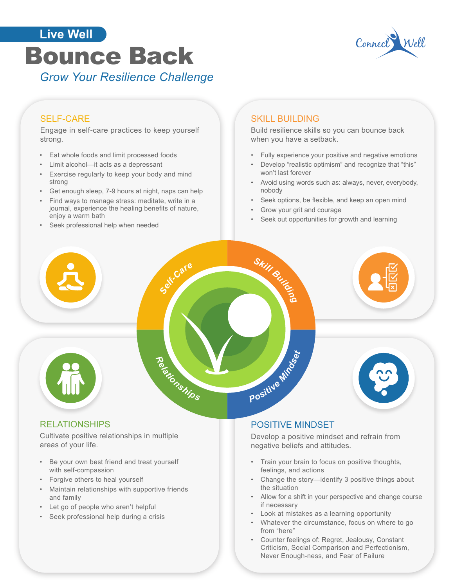



# SELF-CARE

Engage in self-care practices to keep yourself strong.

- Eat whole foods and limit processed foods
- Limit alcohol—it acts as a depressant
- Exercise regularly to keep your body and mind strong
- Get enough sleep, 7-9 hours at night, naps can help
- Find ways to manage stress: meditate, write in a journal, experience the healing benefits of nature, enjoy a warm bath
- Seek professional help when needed

## SKILL BUILDING

Build resilience skills so you can bounce back when you have a setback.

- Fully experience your positive and negative emotions
- Develop "realistic optimism" and recognize that "this" won't last forever
- Avoid using words such as: always, never, everybody, nobody
- Seek options, be flexible, and keep an open mind
- Grow your grit and courage
- Seek out opportunities for growth and learning



### RELATIONSHIPS

Cultivate positive relationships in multiple areas of your life.

- Be your own best friend and treat yourself with self-compassion
- Forgive others to heal yourself
- Maintain relationships with supportive friends and family
- Let go of people who aren't helpful
- Seek professional help during a crisis

### POSITIVE MINDSET

Develop a positive mindset and refrain from negative beliefs and attitudes.

- Train your brain to focus on positive thoughts, feelings, and actions
- Change the story—identify 3 positive things about the situation
- Allow for a shift in your perspective and change course if necessary
- Look at mistakes as a learning opportunity
- Whatever the circumstance, focus on where to go from "here"
- Counter feelings of: Regret, Jealousy, Constant Criticism, Social Comparison and Perfectionism, Never Enough-ness, and Fear of Failure